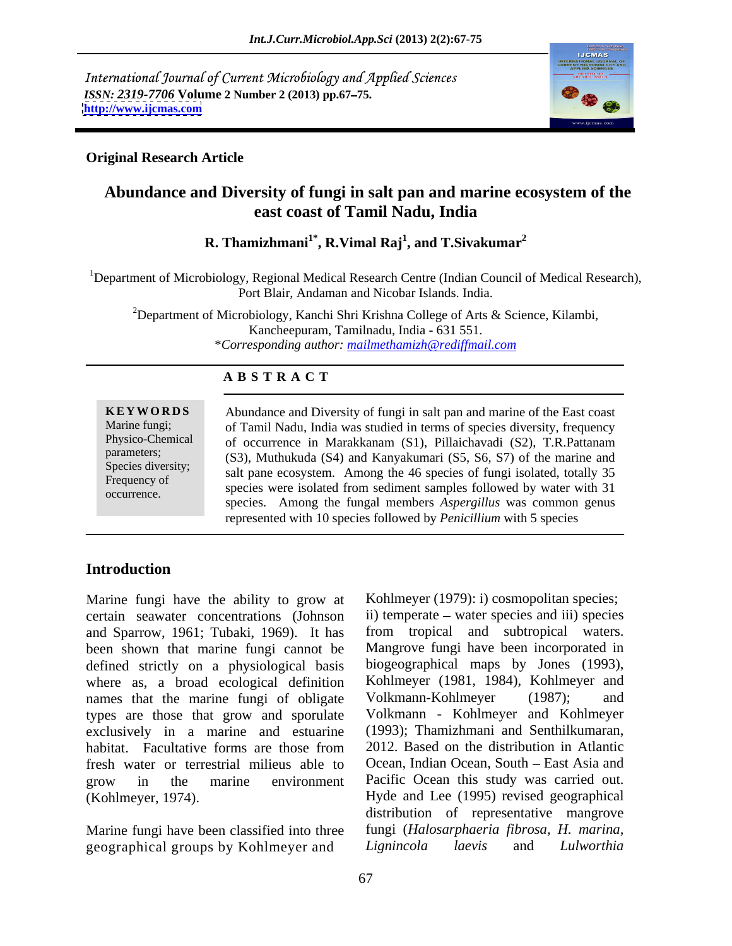International Journal of Current Microbiology and Applied Sciences *ISSN: 2319-7706* **Volume 2 Number 2 (2013) pp.67 75. <http://www.ijcmas.com>**



#### **Original Research Article**

## **Abundance and Diversity of fungi in salt pan and marine ecosystem of the east coast of Tamil Nadu, India**

 ${\bf R}.$  Thamizhmani $^1^*$ ,  ${\bf R}.$  Vimal  ${\bf Raj}^1,$  and  ${\bf T}.$  Sivakumar $^2$ **, and T.Sivakumar<sup>2</sup>**

<sup>1</sup>Department of Microbiology, Regional Medical Research Centre (Indian Council of Medical Research), Port Blair, Andaman and Nicobar Islands. India.

<sup>2</sup>Department of Microbiology, Kanchi Shri Krishna College of Arts & Science, Kilambi, Kancheepuram, Tamilnadu, India - 631 551. \**Corresponding author: mailmethamizh@rediffmail.com*

#### **A B S T R A C T**

**KEYWORDS** Abundance and Diversity of fungi in salt pan and marine of the East coast Marine fungi; of Tamil Nadu, India was studied in terms of species diversity, frequency Physico-Chemical of occurrence in Marakkanam (S1), Pillaichavadi (S2), T.R.Pattanam parameters; (S3), Muthukuda (S4) and Kanyakumari (S5, S6, S7) of the marine and Species diversity;<br>
salt pane ecosystem. Among the 46 species of fungi isolated, totally 35 Frequency of said pair cost seem. Thinking the 40 species of fungi isolated, today 35<br>exercises were isolated from sediment samples followed by water with 31 occurrence. species. Among the fungal members *Aspergillus* was common genus represented with 10 species followed by *Penicillium* with 5 species

### **Introduction**

Marine fungi have the ability to grow at certain seawater concentrations (Johnson and Sparrow, 1961; Tubaki, 1969). It has been shown that marine fungi cannot be defined strictly on a physiological basis where as, a broad ecological definition Kohlmeyer (1981, 1984)<br>names that the marine fungi of obligate Volkmann-Kohlmeyer names that the marine fungi of obligate Volkmann-Kohlmeyer (1987); and types are those that grow and sporulate Volkmann - Kohlmeyer and Kohlmeyer<br>exclusively in a marine and estuarine (1993); Thamizhmani and Senthilkumaran, exclusively in a marine and estuarine (1993); Thamizhmani and Senthilkumaran, habitat Facultative forms are those from 2012. Based on the distribution in Atlantic fresh water or terrestrial milieus able to grow in the marine environment Pacific Ocean this study was carried out. (Kohlmeyer, 1974). Hyde and Lee (1995) revised geographical

Marine fungi have been classified into three geographical groups by Kohlmeyer and Lignincola laevis and Lulworthia

habitat. Facultative forms are those from 2012. Based on the distribution in Atlantic Kohlmeyer (1979): i) cosmopolitan species; ii) temperate – water species and iii) species from tropical and subtropical waters. Mangrove fungi have been incorporated in biogeographical maps by Jones (1993), Kohlmeyer (1981, 1984), Kohlmeyer and Volkmann-Kohlmeyer (1987); and Volkmann - Kohlmeyer and Kohlmeyer (1993); Thamizhmani and Senthilkumaran, 2012. Based on the distribution in Atlantic Ocean, Indian Ocean, South - East Asia and Pacific Ocean this study was carried out. Hyde and Lee (1995) revised geographical distribution of representative mangrove fungi (*Halosarphaeria fibrosa, H. marina, Lignincola laevis* and *Lulworthia*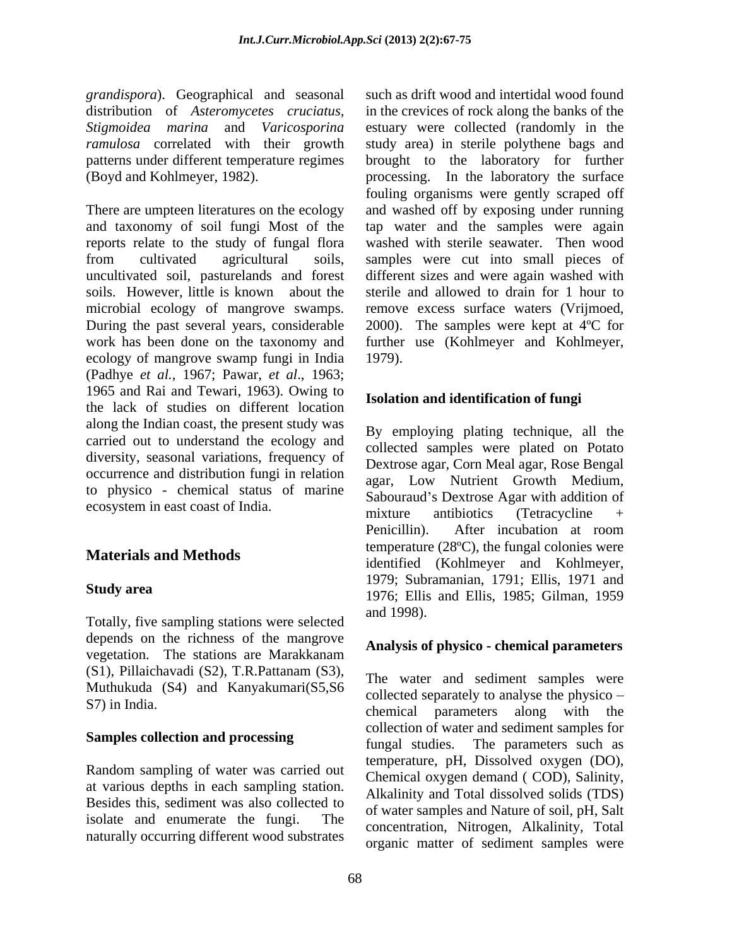*grandispora*). Geographical and seasonal

There are umpteen literatures on the ecology and washed off by exposing under running and taxonomy of soil fungi Most of the tap water and the samples were again reports relate to the study of fungal flora washed with sterile seawater. Then wood from cultivated agricultural soils, samples were cut into small pieces of uncultivated soil, pasturelands and forest different sizes and were again washed with soils. However, little is known about the sterile and allowed to drain for 1 hour to microbial ecology of mangrove swamps. During the past several years, considerable 2000). The samples were kept at 4ºC for work has been done on the taxonomy and further use (Kohlmeyer and Kohlmeyer, ecology of mangrove swamp fungi in India (Padhye *et al.,* 1967; Pawar, *et al*., 1963; 1965 and Rai and Tewari, 1963). Owing to the lack of studies on different location along the Indian coast, the present study was carried out to understand the ecology and diversity, seasonal variations, frequency of occurrence and distribution fungi in relation to physico - chemical status of marine

Totally, five sampling stations were selected depends on the richness of the mangrove vegetation. The stations are Marakkanam  $(S1)$ , Pillaichavadi  $(S2)$ , T.R.Pattanam  $(S3)$ , The water and sediment samples were Muthukuda (S4) and Kanyakumari(S5,S6 S7) in India.

### **Samples collection and processing**

Random sampling of water was carried out at various depths in each sampling station. Besides this, sediment was also collected to isolate and enumerate the fungi. The naturally occurring different wood substrates

distribution of *Asteromycetes cruciatus,* in the crevices of rock along the banks of the *Stigmoidea marina* and *Varicosporina*  estuary were collected (randomly in the *ramulosa* correlated with their growth study area) in sterile polythene bags and patterns under different temperature regimes brought to the laboratory for further (Boyd and Kohlmeyer, 1982). processing. In the laboratory the surface such as drift wood and intertidal wood found fouling organisms were gently scraped off remove excess surface waters (Vrijmoed, 1979).

### **Isolation and identification of fungi**

ecosystem in east coast of India.<br>mixture antibiotics (Tetracycline + **Materials and Methods**<br>
identified (Kohlmeyer and Kohlmeyer, **Study area 1976;** Ellis and Ellis, 1985; Gilman, 1959 By employing plating technique, all the collected samples were plated on Potato Dextrose agar, Corn Meal agar, Rose Bengal agar, Low Nutrient Growth Medium, Sabouraud's Dextrose Agar with addition of mixture antibiotics (Tetracycline + Penicillin). After incubation at room temperature (28ºC), the fungal colonies were 1979; Subramanian, 1791; Ellis, 1971 and and 1998).

### **Analysis of physico - chemical parameters**

The water and sediment samples were collected separately to analyse the physico chemical parameters along with the collection of water and sediment samples for fungal studies. The parameters such as temperature, pH, Dissolved oxygen (DO), Chemical oxygen demand ( COD), Salinity, Alkalinity and Total dissolved solids (TDS) of water samples and Nature of soil, pH, Salt concentration, Nitrogen, Alkalinity, Total organic matter of sediment samples were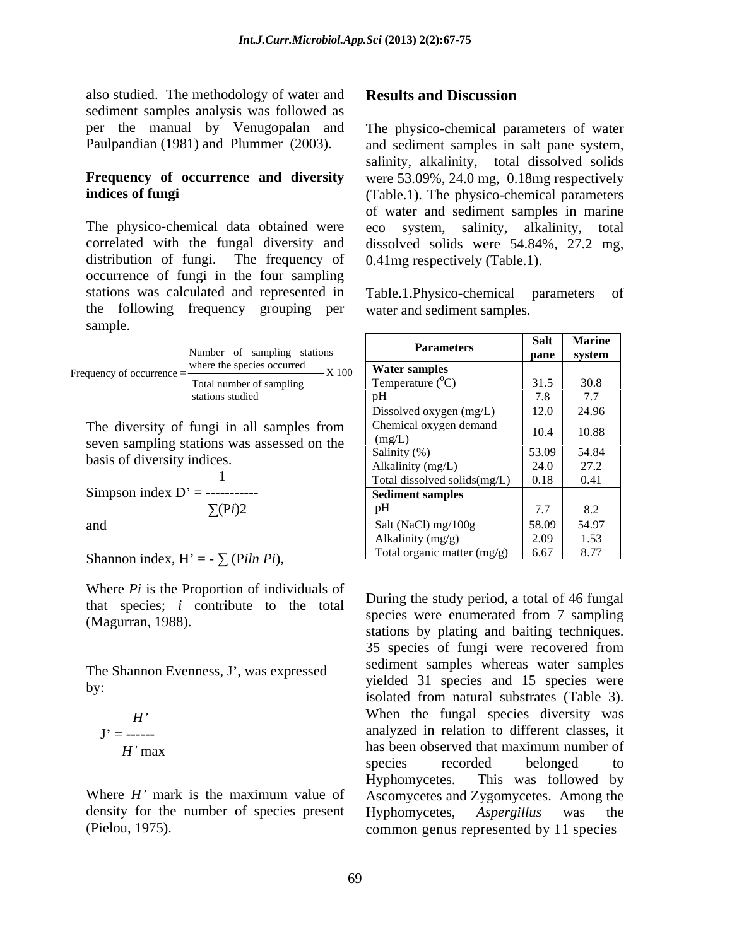also studied. The methodology of water and **Results and Discussion** sediment samples analysis was followed as per the manual by Venugopalan and The physico-chemical parameters of water

The physico-chemical data obtained were eco system, salinity, alkalinity, total correlated with the fungal diversity and distribution of fungi. The frequency of 0.41mg respectively (Table.1). occurrence of fungi in the four sampling stations was calculated and represented in Table.1.Physico-chemical parameters of the following frequency grouping per sample.

|                                                                 | <b>Parameters</b>   | .                                | $\cdots$    |
|-----------------------------------------------------------------|---------------------|----------------------------------|-------------|
| Number of sampling<br>stations                                  |                     | pane                             | svstem      |
| where the species occurred<br>$-1$<br>Frequency of occurrence = | Water samples       |                                  |             |
| Total number of sampling                                        | Temperature $(^0C)$ | 31 <sup>5</sup><br>ر             | 30s<br>JV.V |
| stations studied                                                |                     | $\sqrt{2}$ $\sqrt{2}$<br>$\cdot$ | .           |

Where *Pi* is the Proportion of individuals of that species; *i* contribute to the total

The Shannon Evenness, J', was expressed

$$
H'
$$
  

$$
J' =
$$
........  

$$
H' \max
$$

density for the number of species present Hyphomycetes, Aspergillus was the

#### **Results and Discussion**

Paulpandian (1981) and Plummer (2003). and sediment samples in salt pane system, **Frequency of occurrence and diversity** were 53.09%, 24.0 mg, 0.18mg respectively **indices of fungi** (Table.1). The physico-chemical parameters salinity, alkalinity, total dissolved solids of water and sediment samples in marine eco system, salinity, alkalinity, total dissolved solids were 54.84%, 27.2 mg,

water and sediment samples.

|                                                                        |                                                                                                                                                                                                                                                                                                                     | Salt Marine                 |
|------------------------------------------------------------------------|---------------------------------------------------------------------------------------------------------------------------------------------------------------------------------------------------------------------------------------------------------------------------------------------------------------------|-----------------------------|
| Number of sampling stations                                            | <b>Parameters</b>                                                                                                                                                                                                                                                                                                   | pane system                 |
| where the species occurred                                             | $\frac{1}{2}$ $\frac{1}{2}$ $\frac{1}{2}$ $\frac{1}{2}$ $\frac{1}{2}$ $\frac{1}{2}$ $\frac{1}{2}$ $\frac{1}{2}$ $\frac{1}{2}$ $\frac{1}{2}$ $\frac{1}{2}$ $\frac{1}{2}$ $\frac{1}{2}$ $\frac{1}{2}$ $\frac{1}{2}$ $\frac{1}{2}$ $\frac{1}{2}$ $\frac{1}{2}$ $\frac{1}{2}$ $\frac{1}{2}$ $\frac{1}{2}$ $\frac{1}{2}$ |                             |
| quency of occurrence $=\frac{m}{\sqrt{m}}$<br>Total number of sampling | Temperature $(^0C)$                                                                                                                                                                                                                                                                                                 | $31.5$ 30.8                 |
| stations studied                                                       |                                                                                                                                                                                                                                                                                                                     | 7.8<br>77                   |
|                                                                        |                                                                                                                                                                                                                                                                                                                     | $\frac{1}{2}$<br>12.0 24.96 |
|                                                                        | Dissolved oxygen (mg/L)                                                                                                                                                                                                                                                                                             |                             |
| The diversity of fungi in all samples from                             | Chemical oxygen demand                                                                                                                                                                                                                                                                                              | 10.4 10.88                  |
| seven sampling stations was assessed on the                            | (mg/L)                                                                                                                                                                                                                                                                                                              |                             |
| basis of diversity indices.                                            | Salinity $(\%)$                                                                                                                                                                                                                                                                                                     | 53.09<br>54.84              |
|                                                                        | Alkalinity (mg/L)                                                                                                                                                                                                                                                                                                   | 24.0 27.2                   |
|                                                                        | Total dissolved solids(mg/L) 0.18 0.41                                                                                                                                                                                                                                                                              |                             |
| Simpson index $D' =$ -----------                                       | Sediment samples                                                                                                                                                                                                                                                                                                    |                             |
| $\sum$ (Pi)2                                                           |                                                                                                                                                                                                                                                                                                                     | 8.2<br>7.7                  |
| and                                                                    | Salt (NaCl) mg/100g                                                                                                                                                                                                                                                                                                 | 58.09<br>54.97              |
|                                                                        | Alkalinity (mg/g)                                                                                                                                                                                                                                                                                                   | 2.09<br>1.53                |
|                                                                        | Total organic matter $(mg/g)$ 6.67 8.77                                                                                                                                                                                                                                                                             |                             |
| Shannon index, H' = $ \sum$ (Piln Pi),                                 |                                                                                                                                                                                                                                                                                                                     |                             |

(Magurran, 1988). Species were enumerated from the sampling species were enumerated from the sampling of  $\mu$ by:<br>
isolated from natural substrates (Table 3). *H*<sup>'</sup> When the fungal species diversity was  $J' =$  ------ analyzed in relation to different classes, it has been observed that maximum number of<br>species recorded belonged to Where  $H'$  mark is the maximum value of Ascomycetes and Zygomycetes. Among the (Pielou, 1975). common genus represented by 11 species During the study period, a total of 46 fungal species were enumerated from 7 sampling 35 species of fungi were recovered from sediment samples whereas water samples yielded 31 species and 15 species were When the fungal species diversity was analyzed in relation to different classes, it has been observed that maximum number of species recorded belonged to Hyphomycetes. This was followed by Hyphomycetes, *Aspergillus* was the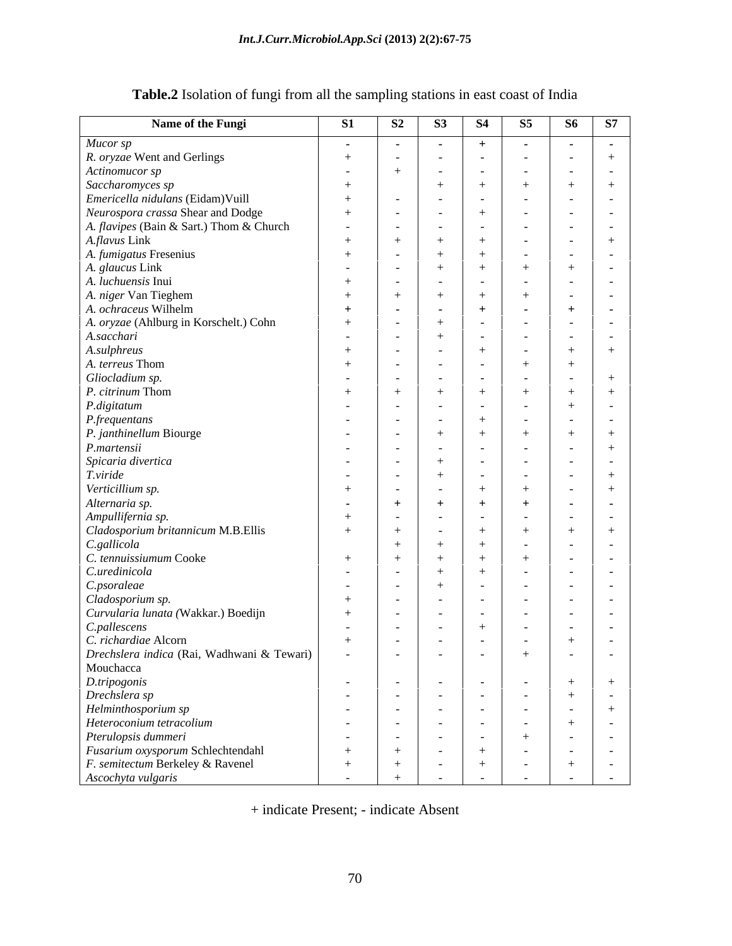| Name of the Fungi                          | <b>S1</b>      | S <sub>2</sub>       | S3             | <b>S4</b>       | S5               | <b>S6</b>      | S7             |
|--------------------------------------------|----------------|----------------------|----------------|-----------------|------------------|----------------|----------------|
| Mucor sp                                   | $\sim$         | $\sim$               | $\sim$ $-$     | $+$             | $\sim$           | $\sim$         | $\sim 100$     |
| R. oryzae Went and Gerlings                | $+$            | $\sim$ $-$           | $\sim$ $-$     |                 | $\sim$           | $\sim$         | $+$            |
| Actinomucor sp                             | $\sim$         |                      | $\sim 100$     | $\sim$ $ \sim$  | $\sim$           | $\sim$         | $\sim$         |
| Saccharomyces sp                           | $+$            |                      | $+$            | $+$             | $+$              |                | $+$            |
| Emericella nidulans (Eidam)Vuill           | $+$            | $\sim$ $ \sim$       | $\sim$ $-$     | $\sim$ $ \sim$  | $\sim$           |                | $\sim$         |
| Neurospora crassa Shear and Dodge          | $+$            | $\sim$               | $\sim 100$     | $+$             | $\sim$           |                | $\sim$         |
| A. flavipes (Bain & Sart.) Thom & Church   | $\sim$ $ \sim$ | $\sim$ $-$           | $\sim$ $ \sim$ | $\sim$ $ \sim$  | $\sim$           |                | $\sim$         |
| A.flavus Link                              | $+$            | $+$                  | $+$            | $+$             | $\sim$           | $\sim$         | $+$            |
| A. fumigatus Fresenius                     | $+$            | $\sim$ $ \sim$       | $+$            | $+$             | $\sim$           | $\sim$         | $\sim 100$     |
| A. glaucus Link                            | $\sim$         | $\sim$               | $+$            | $+$             | $^{+}$           |                | $\sim$         |
| A. luchuensis Inui                         | $+$            | $\sim$               | $\sim$ $-$     | $\sim$          | $\sim$           | $\sim$         | $\sim$         |
| A. niger Van Tieghem                       | $+$            | $+$                  | $+$            | $+$             | $^{+}$           | $\sim$         | $\sim$         |
| A. ochraceus Wilhelm                       | $+$            | $\sim$               | $\sim$ $-$     | $+$             | $\sim$           |                | $\sim$         |
| A. oryzae (Ahlburg in Korschelt.) Cohn     | $+$            | $\sim$ $-$           | $+$            | $\sim$ $ \sim$  | $\sim$           | $\sim$ $ \sim$ | $\sim$ $ \sim$ |
| A.sacchari                                 | $\sim$         | $\sim$ $-$           | $+$            | $\sim$ $ \sim$  | $\sim$           | $\sim$         | $\sim$         |
| A.sulphreus                                | $+$            | $\sim$ $-$           | $\sim 100$     | $+$             | $\sim$           | $^+$           | $+$            |
| A. terreus Thom                            | $^{+}$         | $\sim$ $ \sim$       | $\sim$ $-$     | $\sim$ $-$      | $+$              |                |                |
| Gliocladium sp.                            | $\sim$         | $\sim 100$ m $^{-1}$ | $\sim$ $-$     | $\sim$ $-$      | $\sim$           | $\sim$         | $^{+}$         |
| P. citrinum Thom                           | $+$            | $+$                  | $+$            | $+$             | $+$              |                | $^{+}$         |
| P.digitatum                                | $\sim$         | $\sim$ 100 $\sim$    | $\sim 100$     | $\sim$ $ \sim$  | $\sim$           |                | $\sim$         |
| P.frequentans                              | $\sim$         | $\sim$ $ \sim$       | $\sim$ $-$     | $+$             | $\sim$           | $\sim$ $-$     | $\sim$ $ \sim$ |
| P. janthinellum Biourge                    | $\sim$ $ \sim$ | $\sim$ $-$           | $+$            | $+$             | $^{+}$           | $+$            | $+$            |
| P.martensii                                | $\sim$ $ \sim$ | $\sim$               | $\sim$         | $\sim 100$      | $\sim$           | $\sim$         | $+$            |
| Spicaria divertica                         | $\sim$ $ \sim$ | $\sim$ $ \sim$       | $+$            | $\sim$ $ \sim$  | $\sim$           | $\sim$         | $\sim$         |
| T.viride                                   | $\sim$         | $\sim$               | $+$            | $\sim$ $ \sim$  | $\sim$           | $\sim$         | $+$            |
| Verticillium sp.                           | $+$            | $\sim$               | $\sim$ $-$     | $+$             | $^{+}$           | $\sim$         | $+$            |
| Alternaria sp.                             |                | $+$                  | $+$            | $+$             |                  | $\sim$         | $\sim$         |
| Ampullifernia sp.                          | $\sim$ $-$     |                      |                |                 |                  |                |                |
| Cladosporium britannicum M.B.Ellis         | $+$            | $\sim$<br>$+$        | $\sim$ $-$     | $\sim$ $ \sim$  | $\sim$<br>$^{+}$ | $\sim$         | $\sim$         |
|                                            | $+$            |                      | $\sim$         | $+$             |                  | $+$            | $+$            |
| C.gallicola<br>C. tennuissiumum Cooke      |                | $+$                  | $+$            | $+$             | $\sim$           | $\sim$         | $\sim$         |
|                                            | $+$            | $+$                  | $+$            | $+$             | $^{+}$           | $\sim$         | $\sim$         |
| C.uredinicola                              | $\sim$ $ \sim$ | $\sim 100$ m $^{-1}$ | $+$            | $+$             | $\sim$           |                | $\sim$         |
| C.psoraleae                                | $\sim$         | $\sim$ $-$           | $+$            | $\sim$ $ \sim$  | $\sim$           | $\sim$         | $\sim$         |
| Cladosporium sp.                           | $+$            | $\sim$               | $\sim 100$     | $\sim$ $ \sim$  | $\sim$           | $\sim$         | $\sim$         |
| Curvularia lunata (Wakkar.) Boedijn        | $+$            | $\sim$ $ \sim$       | $\sim$ $-$     | $\sim 100$      | $\sim$           | $\sim$         | $\sim$ $ \sim$ |
| C.pallescens                               | $\sim$         | $\sim$               | $\sim$         | $+$             | $\sim$           | $\sim$ $-$     | $\sim 100$     |
| C. richardiae Alcorn                       | $+$            | $\sim$ $ \sim$       | $\sim 100$     | $\sim$ $ \sim$  | $\sim$           | $+$            | $\sim$ $-$     |
| Drechslera indica (Rai, Wadhwani & Tewari) | $\sim$         | $\sim 100$ m $^{-1}$ | $\sim$ $ \sim$ | $\sim$ $ \sim$  | $+$              |                | $\sim$         |
| Mouchacca                                  |                |                      |                |                 |                  |                |                |
| D.tripogonis                               | $\sim 10^{-1}$ | $\sim 10^{-10}$      | $\sim$ $ \sim$ | $\sim 10^{-10}$ | $\sim$           | $+$            | $+$            |
| Drechslera sp                              | $\sim$         | $\sim 100$ m $^{-1}$ | $\sim$ $-$     | $\sim 10^{-10}$ | $\sim$ $-$       | $+$            | $\sim$ $-$     |
| Helminthosporium sp                        | $\sim$ $ \sim$ | $\sim 10^{-10}$      | $\sim 100$     | $\sim 10^{-11}$ | $\sim$ $-$       | $\sim 100$     | $+$            |
| Heteroconium tetracolium                   | $\sim$ $ \sim$ | $\sim 100$ m $^{-1}$ | $\sim$ $ \sim$ | $\sim$ $ \sim$  | $\sim$ $-$       | $+$            | $\sim$ $-$     |
| Pterulopsis dummeri                        | $\sim$ $ \sim$ | $\sim 100$ m $^{-1}$ | $\sim$ $-$     | $\sim$ $ \sim$  | $+$              | $\sim$         | $\sim$ $-$     |
| Fusarium oxysporum Schlechtendahl          | $+$            | $+$                  | $\sim$ $-$     | $+$             | $\sim$           | $\sim$ $-$     | $\sim 100$     |
| F. semitectum Berkeley & Ravenel           | $+$            | $+$                  | $\sim$ $-$     | $+$             | $\sim$ $-$       | $+$            | $\sim$ $-$     |
| Ascochyta vulgaris                         | $\sim$         |                      |                |                 |                  |                | $\sim$         |

# **Table.2** Isolation of fungi from all the sampling stations in east coast of India

+ indicate Present; - indicate Absent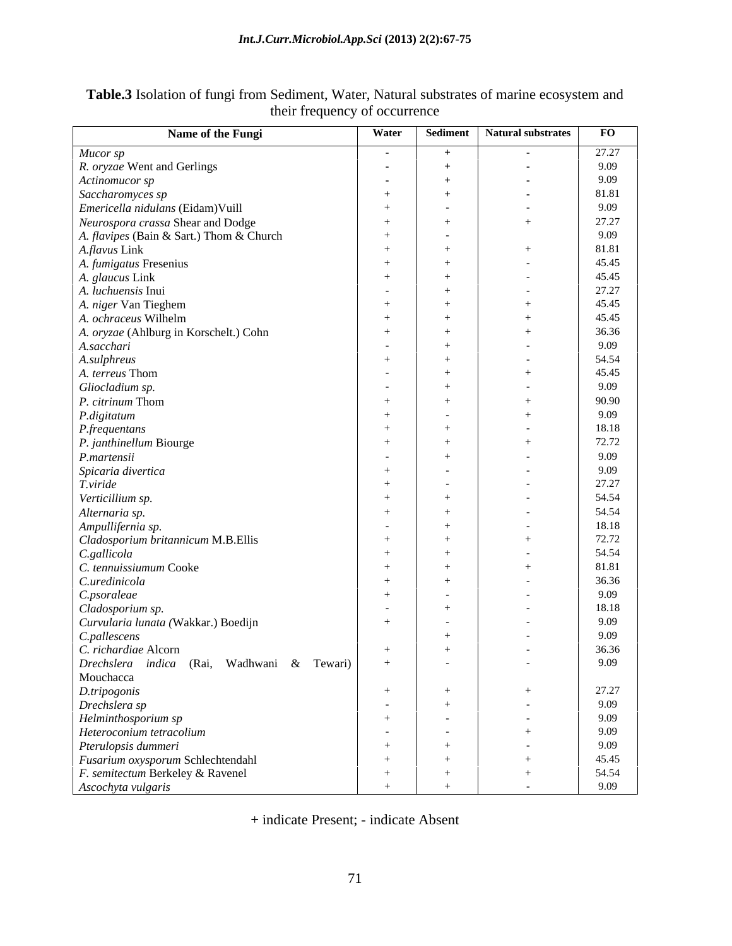| Name of the Fungi                                                                                | Water                | Sediment             | Natural substrates       | $\bf FO$ |
|--------------------------------------------------------------------------------------------------|----------------------|----------------------|--------------------------|----------|
| Mucor sp                                                                                         | <b>Contract</b>      | $+$                  | <b>Contract Contract</b> | 27.27    |
| R. oryzae Went and Gerlings                                                                      | <b>Contract</b>      | $+$                  |                          | 9.09     |
| Actinomucor sp                                                                                   | $\sim 100$           | $+$                  |                          | 9.09     |
| Saccharomyces sp                                                                                 | $+$                  | $+$                  |                          | 81.81    |
| Emericella nidulans (Eidam)Vuill                                                                 | $+$                  | $\sim$ $ \sim$       |                          | 9.09     |
| Neurospora crassa Shear and Dodge                                                                | $+$                  | $+$                  |                          | 27.27    |
| A. flavipes (Bain & Sart.) Thom & Church                                                         | $+$                  | $\sim 100$ m $^{-1}$ |                          | 9.09     |
| A.flavus Link                                                                                    | $+$                  | $+$                  |                          | 81.81    |
| A. fumigatus Fresenius                                                                           | $+$                  | $+$                  |                          | 45.45    |
| A. glaucus Link                                                                                  | $+$                  | $+$                  |                          | 45.45    |
| A. luchuensis Inui                                                                               | $\sim 100$ m $^{-1}$ | $+$                  |                          | 27.27    |
| A. niger Van Tieghem                                                                             | $+$                  | $+$                  |                          | 45.45    |
| A. ochraceus Wilhelm                                                                             | $+$                  | $+$                  |                          | 45.45    |
| A. oryzae (Ahlburg in Korschelt.) Cohn                                                           | $+$                  | $+$                  |                          | 36.36    |
| A.sacchari                                                                                       | $\sim 100$ m $^{-1}$ | $+$                  |                          | 9.09     |
| A.sulphreus                                                                                      | $+$                  | $+$                  |                          | 54.54    |
| A. terreus Thom                                                                                  | $\sim$ $ \sim$       | $+$                  |                          | 45.45    |
| Gliocladium sp.                                                                                  | $\sim 100$ m $^{-1}$ | $+$                  |                          | 9.09     |
| P. citrinum Thom                                                                                 | $+$                  | $+$                  |                          | 90.90    |
| P.digitatum                                                                                      | $+$                  | $\sim 100$ m $^{-1}$ |                          | 9.09     |
| <i>P.frequentans</i>                                                                             | $+$                  | $+$                  |                          | 18.18    |
| P. janthinellum Biourge                                                                          | $+$                  | $+$                  |                          | 72.72    |
| P.martensii                                                                                      | $\sim 100$ m $^{-1}$ | $+$                  |                          | 9.09     |
| Spicaria divertica                                                                               | $+$                  | $\sim 1000$          |                          | 9.09     |
| T.viride                                                                                         | $+$                  | $\sim 100$           |                          | 27.27    |
| Verticillium sp.                                                                                 | $+$                  | $+$                  |                          | 54.54    |
| Alternaria sp.                                                                                   | $+$                  | $+$                  |                          | 54.54    |
| Ampullifernia sp.                                                                                | $\sim$ 100 $\sim$    | $+$                  |                          | 18.18    |
| Cladosporium britannicum M.B.Ellis                                                               | $+$                  | $+$                  |                          | 72.72    |
| C.gallicola                                                                                      | $+$                  | $+$                  |                          | 54.54    |
| C. tennuissiumum Cooke                                                                           | $+$                  | $+$                  |                          | 81.81    |
| C.uredinicola                                                                                    | $+$                  | $+$                  |                          | 36.36    |
| C.psoraleae                                                                                      | $+$                  | $\sim$ $ \sim$       |                          | 9.09     |
| Cladosporium sp.                                                                                 | $\sim 100$ m $^{-1}$ | $+$                  |                          | 18.18    |
| Curvularia lunata (Wakkar.) Boedijn                                                              | $+$                  | $\sim 10^{-10}$      |                          | 9.09     |
| C.pallescens                                                                                     |                      | $+$                  |                          | 9.09     |
| C. richardiae Alcorn                                                                             | $+$                  | $+$                  |                          | 36.36    |
| Drechslera indica (Rai, Wadhwani & Tewari)                                                       |                      | $\sim 100$ m $^{-1}$ | $\sim$ $-$               | 9.09     |
| Mouchacca                                                                                        |                      |                      |                          |          |
|                                                                                                  | $+$                  | $+$                  |                          | 27.27    |
|                                                                                                  | $\sim 100$ m $^{-1}$ | $+$                  | $\sim$ $-$               | 9.09     |
| <i>D.tripogonis</i><br><i>D.tripogonis</i><br><i>Prechslera sp</i><br><i>Helminthosporium sp</i> | $+$                  | $\sim 10^{-10}$      |                          | 9.09     |
| Heteroconium tetracolium                                                                         | $\sim 10^{-10}$      | $\sim 10^{-10}$      |                          | 9.09     |
| Pterulopsis dummeri                                                                              | $+$                  | $+$                  |                          | 9.09     |
| Fusarium oxysporum Schlechtendahl                                                                | $+$                  | $+$                  |                          | 45.45    |
| F. semitectum Berkeley & Ravenel                                                                 | $+$                  | $+$                  |                          | 54.54    |
| Ascochyta vulgaris                                                                               | $+$                  |                      |                          | 9.09     |

#### **Table.3** Isolation of fungi from Sediment, Water, Natural substrates of marine ecosystem and their frequency of occurrence

+ indicate Present; - indicate Absent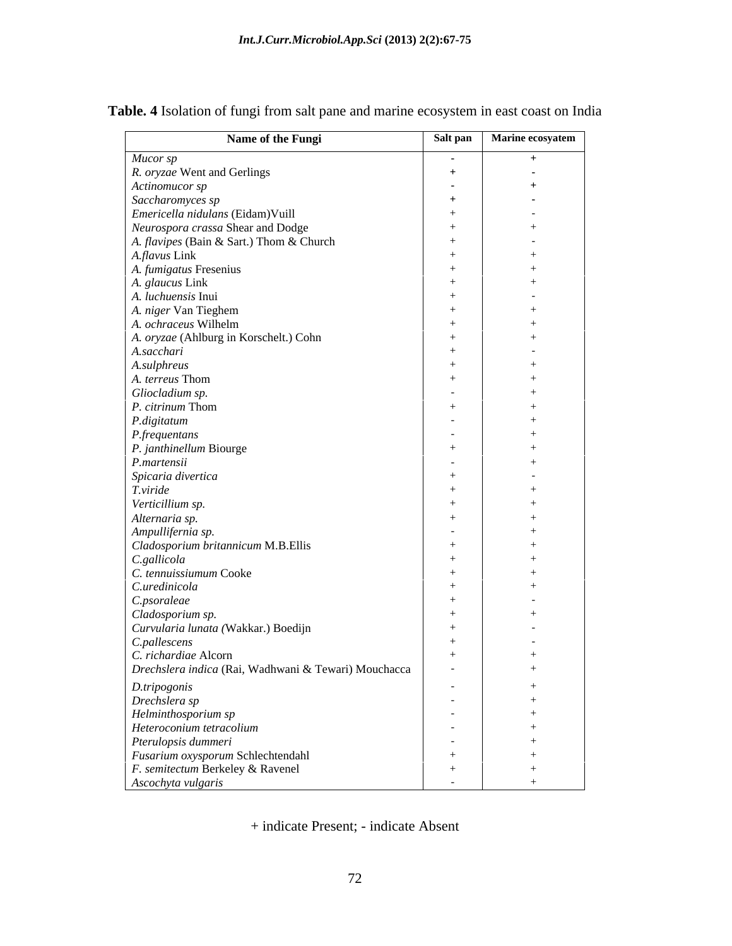| Name of the Fungi                                    |                                              | Salt pan Marine ecosyatem |
|------------------------------------------------------|----------------------------------------------|---------------------------|
| Mucor sp                                             | <b>Contract Contract</b>                     | $+$                       |
| R. oryzae Went and Gerlings                          | $+$                                          | $\sim$ 100 $\pm$          |
| Actinomucor sp                                       | <b>Contract Contract</b>                     | $+$                       |
| Saccharomyces sp                                     | $+$                                          | $\sim 100$                |
| Emericella nidulans (Eidam)Vuill                     | $+$                                          | $\sim$ $-$                |
| Neurospora crassa Shear and Dodge                    | $+$                                          | $+$                       |
| A. flavipes (Bain & Sart.) Thom & Church             | $+$                                          | $\sim$ $-$                |
| A.flavus Link                                        | $+$                                          | $+$                       |
| A. fumigatus Fresenius                               | $+$                                          | $+$                       |
| A. glaucus Link                                      | $+$                                          | $+$                       |
| A. luchuensis Inui                                   | $+$                                          | $\sim$ 100 $\sim$         |
| A. niger Van Tieghem                                 | $+$                                          | $+$                       |
| A. ochraceus Wilhelm                                 | $+$                                          | $+$                       |
| A. oryzae (Ahlburg in Korschelt.) Cohn               | $+$                                          | $+$                       |
| A.sacchari                                           | $+$                                          | $\sim 10^{-10}$           |
| A.sulphreus                                          | $+$                                          | $+$                       |
| A. terreus Thom                                      | $+$                                          | $+$                       |
| Gliocladium sp.                                      | $\sim$ $-$                                   | $+$                       |
| P. citrinum Thom                                     | $+$                                          | $+$                       |
| P.digitatum                                          | $\sim 100$ m $^{-1}$<br>$\sim 100$ m $^{-1}$ | $+$<br>$+$                |
| <i>P.frequentans</i><br>P. janthinellum Biourge      | $+$                                          | $+$                       |
|                                                      | $\sim 100$ m $^{-1}$                         | $+$                       |
| P.martensii<br>Spicaria divertica                    | $+$                                          | $\sim 100$ m $^{-1}$      |
| T.viride                                             | $+$                                          | $+$                       |
| Verticillium sp.                                     | $+$                                          | $+$                       |
| Alternaria sp.                                       | $+$                                          | $+$                       |
| Ampullifernia sp.                                    | $\sim 100$ m $^{-1}$                         | $+$                       |
| Cladosporium britannicum M.B.Ellis                   | $+$                                          | $+$                       |
| C.gallicola                                          | $+$                                          | $+$                       |
| C. tennuissiumum Cooke                               | $+$                                          | $+$                       |
| C.uredinicola                                        | $+$                                          | $+$                       |
| $C.p\\ \emph{sonaleae}$                              | $+$                                          | $\sim$ $-$                |
| Cladosporium sp.                                     | $+$                                          | $+$                       |
| Curvularia lunata (Wakkar.) Boedijn                  | $+$                                          | $\sim 100$ m $^{-1}$      |
| C.pallescens                                         | $+$                                          | $\sim$ $-$                |
| C. richardiae Alcorn                                 | $+$                                          | $+$                       |
| Drechslera indica (Rai, Wadhwani & Tewari) Mouchacca | $\sim$ $-$                                   | $+$                       |
|                                                      | $\sim 10^{-10}$                              | $+$                       |
|                                                      | $\sim 100$ m $^{-1}$                         | $+$                       |
| D.tripogonis<br>Drechslera sp<br>Helminthosporium sp | $\sim 1000$ m $^{-1}$                        | $+$                       |
| Heteroconium tetracolium                             | $\sim 100$ m $^{-1}$                         | $+$                       |
| Pterulopsis dummeri                                  | <b>Contractor</b>                            | $+$                       |
| Fusarium oxysporum Schlechtendahl                    | $+$                                          | $+$                       |
| F. semitectum Berkeley & Ravenel                     | $+$                                          | $+$                       |
| Ascochyta vulgaris                                   | $\sim$ $-$                                   | $+$                       |

**Table. 4** Isolation of fungi from salt pane and marine ecosystem in east coast on India

+ indicate Present; - indicate Absent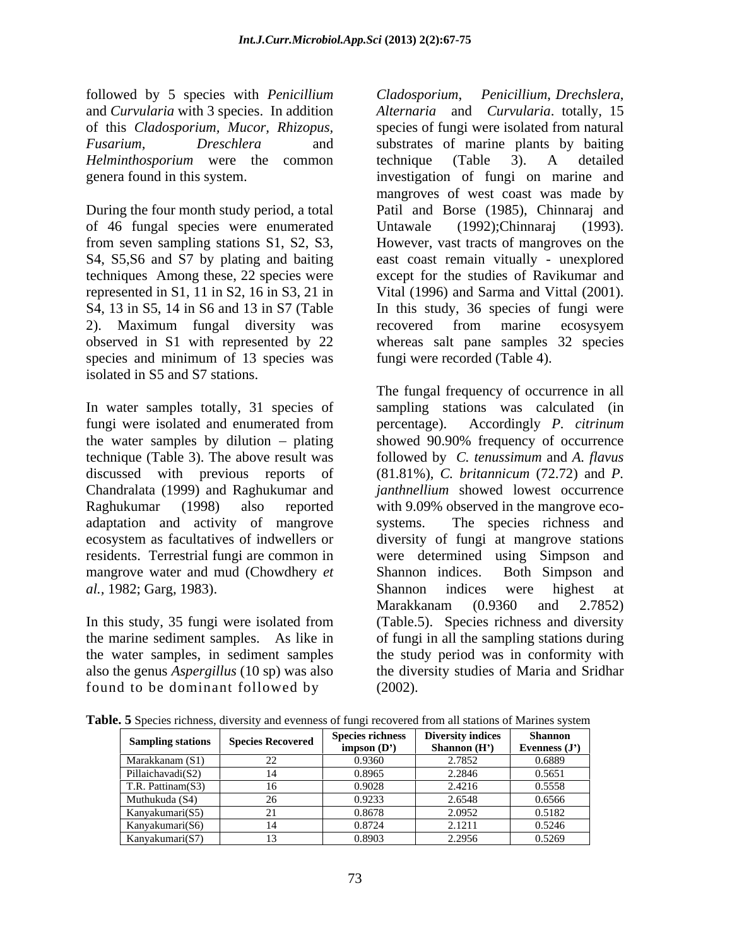followed by 5 species with *Penicillium* and *Curvularia* with 3 species. In addition of this *Cladosporium, Mucor, Rhizopus, Helminthosporium* were the common

of 46 fungal species were enumerated from seven sampling stations S1, S2, S3, However, vast tracts of mangroves on the techniques Among these, 22 species were 2). Maximum fungal diversity was species and minimum of 13 species was isolated in S5 and S7 stations.

In water samples totally, 31 species of sampling stations was calculated (in fungi were isolated and enumerated from percentage). Accordingly P. citrinum the water samples by dilution  $-$  plating showed 90.90% frequency of occurrence technique (Table 3). The above result was followed by *C. tenussimum* and *A. flavus* discussed with previous reports of (81.81%), *C. britannicum* (72.72) and *P.*  Chandralata (1999) and Raghukumar and *janthnellium* showed lowest occurrence Raghukumar (1998) also reported with 9.09% observed in the mangrove eco adaptation and activity of mangrove ecosystem as facultatives of indwellers or diversity of fungi at mangrove stations residents. Terrestrial fungi are common in were determined using Simpson and mangrove water and mud (Chowdhery *et* Shannon indices. Both Simpson and *al.,* 1982; Garg, 1983).

found to be dominant followed by

*Fusarium, Dreschlera* and substrates of marine plants by baiting genera found in this system. investigation of fungi on marine and During the four month study period, a total Patil and Borse (1985), Chinnaraj and S4, S5,S6 and S7 by plating and baiting east coast remain vitually - unexplored represented in S1, 11 in S2, 16 in S3, 21 in Vital (1996) and Sarma and Vittal (2001). S4, 13 in S5, 14 in S6 and 13 in S7 (Table In this study, 36 species of fungi were observed in S1 with represented by 22 whereas salt pane samples 32 species *Cladosporium*, *Penicillium*, *Drechslera*, *Alternaria* and *Curvularia*. totally, 15 species of fungi were isolated from natural technique (Table 3). A detailed mangroves of west coast was made by Untawale (1992);Chinnaraj (1993).<br>However, vast tracts of mangroves on the except for the studies of Ravikumar and recovered from marine ecosysyem fungi were recorded (Table 4).

In this study, 35 fungi were isolated from (Table.5). Species richness and diversity the marine sediment samples. As like in of fungi in all the sampling stations during the water samples, in sediment samples the study period was in conformity with also the genus *Aspergillus* (10 sp) was also the diversity studies of Maria and Sridhar The fungal frequency of occurrence in all percentage). Accordingly *P. citrinum* showed 90.90% frequency of occurrence The species richness and Shannon indices. Both Simpson and Shannon indices were highest at Marakkanam (0.9360 and 2.7852) (2002).

|                   | Sampling stations Species Recovered |                            | Species richness Diversity indices | Shannon       |
|-------------------|-------------------------------------|----------------------------|------------------------------------|---------------|
|                   |                                     | impson $(D^{\prime})$      | <b>Shannon</b> (H')                | Evenness (J') |
| Marakkanam (      |                                     | 0.9360                     | 2.7852                             | 0.6889        |
| Pillaichavadi(S2) |                                     | 0.8965                     | 2.2846                             | 0.5651        |
| T.R. Pattinam(S3) |                                     | ( ) ( ) ( ) ( <sup>)</sup> | 2.4216                             | 0.5558        |
| Muthukuda (S4)    |                                     | 1.9233                     | .6548                              | 0.6566        |
| Kanyakumari(S5)   |                                     | 0.8678                     | 2.0952                             | 0.5182        |
| Kanvakumari(S6)   |                                     | 0.8724                     | 1211                               | 0.5246        |
| Kanyakumari(S7)   |                                     | 0.8903                     | 2.2956                             | 0.5269        |

**Table. 5** Species richness, diversity and evenness of fungi recovered from all stations of Marines system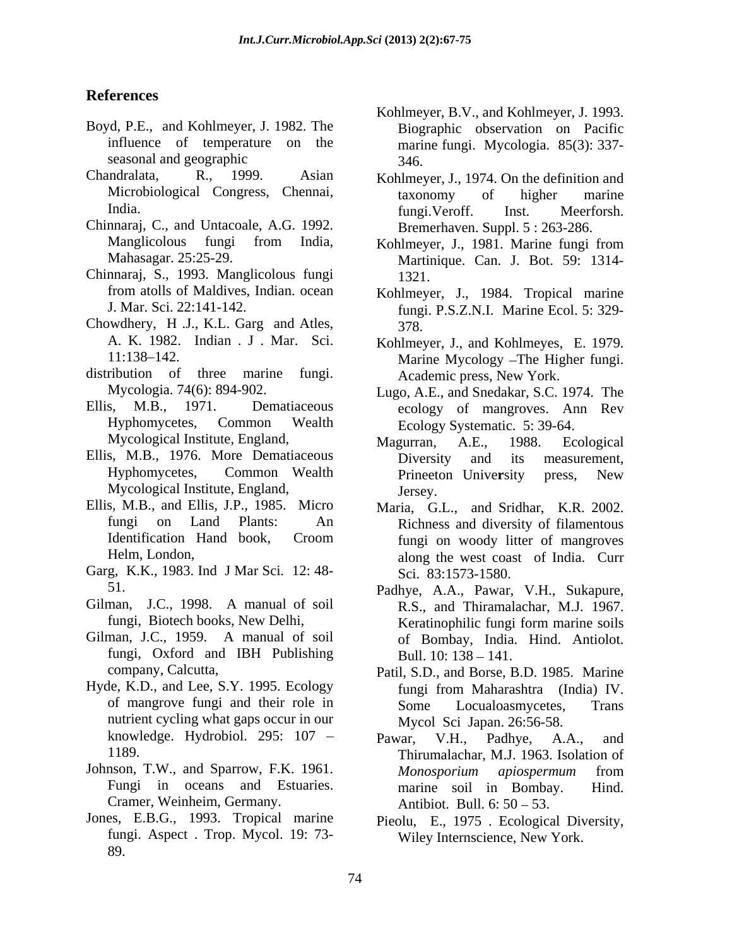### **References**

- Boyd, P.E., and Kohlmeyer, J. 1982. The seasonal and geographic 346.
- Chandralata, R., 1999. Asian Kohlmeyer, J., 1974. On the definition and
- Chinnaraj, C., and Untacoale, A.G. 1992.
- Chinnaraj, S., 1993. Manglicolous fungi
- Chowdhery, H .J., K.L. Garg and Atles, A. K. 1982. Indian J. Mar. Sci. Kohlmeyer, J., and Kohlmeyes, E. 1979.
- distribution of three marine fungi.
- 
- Ellis, M.B., 1976. More Dematiaceous Diversity and its measurement, Mycological Institute, England,
- Ellis, M.B., and Ellis, J.P., 1985. Micro
- Garg, K.K., 1983. Ind J Mar Sci*.* 12: 48-
- Gilman, J.C., 1998. A manual of soil
- Gilman, J.C., 1959. A manual of soil fungi, Oxford and IBH Publishing
- Hyde, K.D., and Lee, S.Y. 1995. Ecology nutrient cycling what gaps occur in our knowledge. Hydrobiol. 295: 107 - Pawar, V.H., Padhye, A.A., and
- Cramer, Weinheim, Germany.
- Jones, E.B.G., 1993. Tropical marine Pieolu, E., 1975 . Ecological Diversity, fungi. Aspect . Trop. Mycol. 19: 73- 89.
- influence of temperature on the marine fungi. Mycologia. 85(3): 337- Kohlmeyer, B.V., and Kohlmeyer, J. 1993. Biographic observation on Pacific 346.
- Microbiological Congress, Chennai, taxonomy of higher marine India. Meerforsh. Inst. Meerforsh. taxonomy of higher marine fungi.Veroff. Inst. Meerforsh. Bremerhaven. Suppl. 5 : 263-286.
- Manglicolous fungi from India, Kohlmeyer, J., 1981. Marine fungi from Mahasagar. 25:25-29. Martinique. Can. J. Bot. 59: 1314-Mahasagar. 25:25-29. Martinique. Can. J. Bot. 59: 1314- Kohlmeyer, J., 1981. Marine fungi from 1321.
- from atolls of Maldives, Indian. ocean Kohlmeyer, J., 1984. Tropical marine J. Mar. Sci. 22:141-142. fungi. P.S.Z.N.I. Marine Ecol. 5: 329- 378.
- 11:138 142. Marine Mycology The Higher fungi. Academic press, New York.
- Mycologia. 74(6): 894-902. Lugo, A.E., and Snedakar, S.C. 1974. The Ellis, M.B., 1971. Dematiaceous ecology of mangroves. Ann Rev Hyphomycetes, Common Wealth Ecology Systematic. 5: 39-64.
	- Mycological Institute, England, Maguran, A.E., 1988. Ecological Hyphomycetes, Common Wealth Magurran, A.E., 1988. Ecological Diversity and its measurement, Prineeton Unive**r**sity press, New Jersey.
	- fungi on Land Plants: An Richness and diversity of filamentous Identification Hand book, Croom fungi on woody litter of mangroves Helm, London, along the west coast of India. Curr Maria, G.L., and Sridhar, K.R. 2002. fungi on woody litter of mangroves Sci. 83:1573-1580.
	- 51. Padhye, A.A., Pawar, V.H., Sukapure, fungi, Biotech books, New Delhi, Keratinophilic fungi form marine soils R.S., and Thiramalachar, M.J. 1967. of Bombay, India. Hind. Antiolot. Bull. 10: 138 - 141.
	- company, Calcutta, Patil, S.D., and Borse, B.D. 1985. Marine of mangrove fungi and their role in Some Locualoasmycetes, Trans fungi from Maharashtra (India) IV. Some Locualoasmycetes, Trans Mycol Sci Japan. 26:56-58.
- 1189. Thirumalachar, M.J. 1963. Isolation of Johnson, T.W., and Sparrow, F.K. 1961. Monosporium apiospermum from Fungi in oceans and Estuaries. marine soil in Bombay. Hind. Pawar, V.H., Padhye, A.A., and *Monosporium apiospermum* from marine soil in Bombay. Antibiot. Bull.  $6: 50 - 53$ .
	- Wiley Internscience, New York.